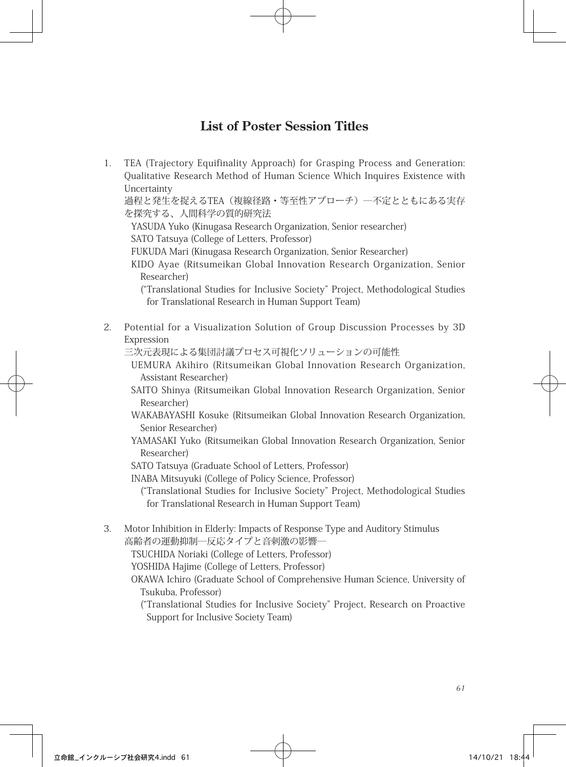## **List of Poster Session Titles**

1. TEA (Trajectory Equifinality Approach) for Grasping Process and Generation: Qualitative Research Method of Human Science Which Inquires Existence with Uncertainty

過程と発生を捉えるTEA(複線径路・等至性アプローチ)―不定とともにある実存 を探究する、人間科学の質的研究法

YASUDA Yuko (Kinugasa Research Organization, Senior researcher) SATO Tatsuya (College of Letters, Professor)

FUKUDA Mari (Kinugasa Research Organization, Senior Researcher)

KIDO Ayae (Ritsumeikan Global Innovation Research Organization, Senior Researcher)

("Translational Studies for Inclusive Society" Project, Methodological Studies for Translational Research in Human Support Team)

2. Potential for a Visualization Solution of Group Discussion Processes by 3D Expression

三次元表現による集団討議プロセス可視化ソリューションの可能性

- UEMURA Akihiro (Ritsumeikan Global Innovation Research Organization, Assistant Researcher)
- SAITO Shinya (Ritsumeikan Global Innovation Research Organization, Senior Researcher)
- WAKABAYASHI Kosuke (Ritsumeikan Global Innovation Research Organization, Senior Researcher)
- YAMASAKI Yuko (Ritsumeikan Global Innovation Research Organization, Senior Researcher)
- SATO Tatsuya (Graduate School of Letters, Professor)
- INABA Mitsuyuki (College of Policy Science, Professor)

("Translational Studies for Inclusive Society" Project, Methodological Studies for Translational Research in Human Support Team)

3. Motor Inhibition in Elderly: Impacts of Response Type and Auditory Stimulus 高齢者の運動抑制―反応タイプと音刺激の影響―

TSUCHIDA Noriaki (College of Letters, Professor)

YOSHIDA Hajime (College of Letters, Professor)

OKAWA Ichiro (Graduate School of Comprehensive Human Science, University of Tsukuba, Professor)

("Translational Studies for Inclusive Society" Project, Research on Proactive Support for Inclusive Society Team)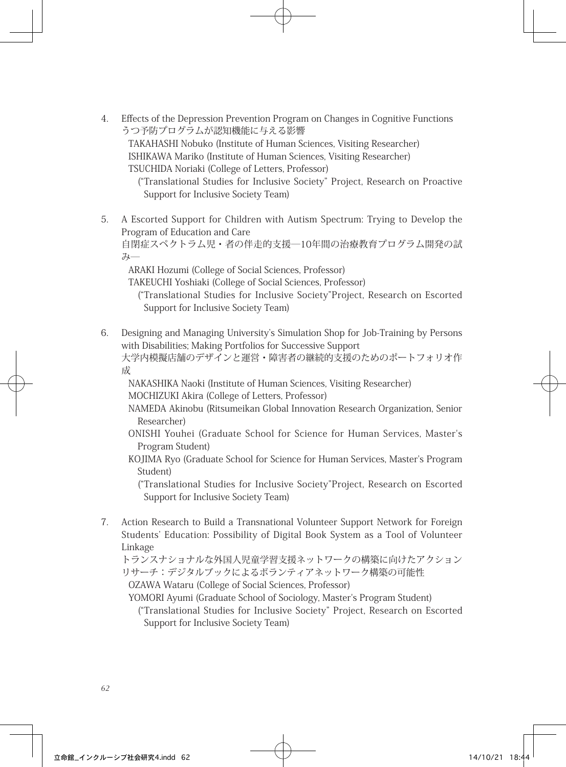4. Effects of the Depression Prevention Program on Changes in Cognitive Functions うつ予防プログラムが認知機能に与える影響

TAKAHASHI Nobuko (Institute of Human Sciences, Visiting Researcher) ISHIKAWA Mariko (Institute of Human Sciences, Visiting Researcher) TSUCHIDA Noriaki (College of Letters, Professor)

("Translational Studies for Inclusive Society" Project, Research on Proactive Support for Inclusive Society Team)

5. A Escorted Support for Children with Autism Spectrum: Trying to Develop the Program of Education and Care

自閉症スペクトラム児・者の伴走的支援―10年間の治療教育プログラム開発の試  $21$ 

ARAKI Hozumi (College of Social Sciences, Professor)

TAKEUCHI Yoshiaki (College of Social Sciences, Professor)

- ("Translational Studies for Inclusive Society"Project, Research on Escorted Support for Inclusive Society Team)
- 6. Designing and Managing University's Simulation Shop for Job-Training by Persons with Disabilities; Making Portfolios for Successive Support 大学内模擬店舗のデザインと運営・障害者の継続的支援のためのポートフォリオ作 成

NAKASHIKA Naoki (Institute of Human Sciences, Visiting Researcher) MOCHIZUKI Akira (College of Letters, Professor)

NAMEDA Akinobu (Ritsumeikan Global Innovation Research Organization, Senior Researcher)

- ONISHI Youhei (Graduate School for Science for Human Services, Master's Program Student)
- KOJIMA Ryo (Graduate School for Science for Human Services, Master's Program Student)

("Translational Studies for Inclusive Society"Project, Research on Escorted Support for Inclusive Society Team)

7. Action Research to Build a Transnational Volunteer Support Network for Foreign Students' Education: Possibility of Digital Book System as a Tool of Volunteer Linkage

トランスナショナルな外国人児童学習支援ネットワークの構築に向けたアクション リサーチ:デジタルブックによるボランティアネットワーク構築の可能性 OZAWA Wataru (College of Social Sciences, Professor)

YOMORI Ayumi (Graduate School of Sociology, Master's Program Student)

("Translational Studies for Inclusive Society" Project, Research on Escorted Support for Inclusive Society Team)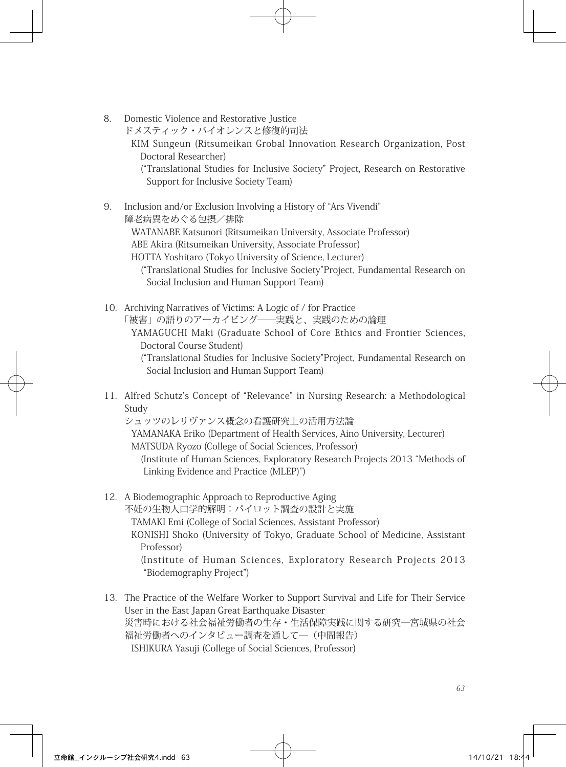8. Domestic Violence and Restorative Justice

ドメスティック・バイオレンスと修復的司法

KIM Sungeun (Ritsumeikan Grobal Innovation Research Organization, Post Doctoral Researcher)

("Translational Studies for Inclusive Society" Project, Research on Restorative Support for Inclusive Society Team)

- 9. Inclusion and/or Exclusion Involving a History of "Ars Vivendi" 障老病異をめぐる包摂/排除 WATANABE Katsunori (Ritsumeikan University, Associate Professor) ABE Akira (Ritsumeikan University, Associate Professor) HOTTA Yoshitaro (Tokyo University of Science, Lecturer) ("Translational Studies for Inclusive Society"Project, Fundamental Research on Social Inclusion and Human Support Team)
- 10. Archiving Narratives of Victims: A Logic of / for Practice 「被害」の語りのアーカイビング――実践と、実践のための論理 YAMAGUCHI Maki (Graduate School of Core Ethics and Frontier Sciences, Doctoral Course Student) ("Translational Studies for Inclusive Society"Project, Fundamental Research on Social Inclusion and Human Support Team)
- 11. Alfred Schutz's Concept of "Relevance" in Nursing Research: a Methodological Study

シュッツのレリヴァンス概念の看護研究上の活用方法論

YAMANAKA Eriko (Department of Health Services, Aino University, Lecturer) MATSUDA Ryozo (College of Social Sciences, Professor)

(Institute of Human Sciences, Exploratory Research Projects 2013 "Methods of Linking Evidence and Practice (MLEP)")

- 12. A Biodemographic Approach to Reproductive Aging 不妊の生物人口学的解明:パイロット調査の設計と実施 TAMAKI Emi (College of Social Sciences, Assistant Professor) KONISHI Shoko (University of Tokyo, Graduate School of Medicine, Assistant Professor) (Institute of Human Sciences, Exploratory Research Projects 2013 "Biodemography Project")
- 13. The Practice of the Welfare Worker to Support Survival and Life for Their Service User in the East Japan Great Earthquake Disaster 災害時における社会福祉労働者の生存・生活保障実践に関する研究―宮城県の社会 福祉労働者へのインタビュー調査を通して―(中間報告) ISHIKURA Yasuji (College of Social Sciences, Professor)